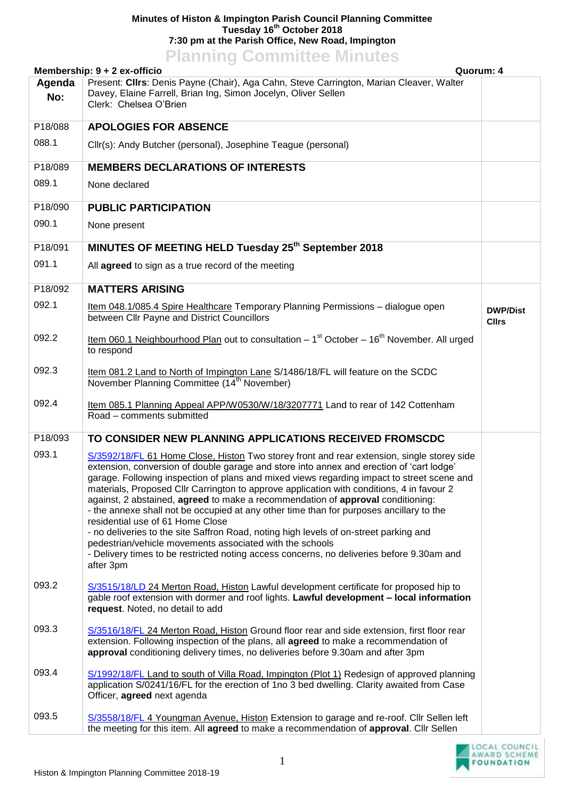## **Minutes of Histon & Impington Parish Council Planning Committee Tuesday 16th October 2018 7:30 pm at the Parish Office, New Road, Impington Planning Committee Minutes**

| <b>FRITTING COMMITTEE</b> MITTULES<br>Quorum: 4<br>Membership: 9 + 2 ex-officio |                                                                                                                                                                                                                                                                                                                                                                                                                                                                                                                                                                                                                                                                                                                                                                                                                                                                    |                                 |  |
|---------------------------------------------------------------------------------|--------------------------------------------------------------------------------------------------------------------------------------------------------------------------------------------------------------------------------------------------------------------------------------------------------------------------------------------------------------------------------------------------------------------------------------------------------------------------------------------------------------------------------------------------------------------------------------------------------------------------------------------------------------------------------------------------------------------------------------------------------------------------------------------------------------------------------------------------------------------|---------------------------------|--|
| Agenda<br>No:                                                                   | Present: Cllrs: Denis Payne (Chair), Aga Cahn, Steve Carrington, Marian Cleaver, Walter<br>Davey, Elaine Farrell, Brian Ing, Simon Jocelyn, Oliver Sellen<br>Clerk: Chelsea O'Brien                                                                                                                                                                                                                                                                                                                                                                                                                                                                                                                                                                                                                                                                                |                                 |  |
| P18/088                                                                         | <b>APOLOGIES FOR ABSENCE</b>                                                                                                                                                                                                                                                                                                                                                                                                                                                                                                                                                                                                                                                                                                                                                                                                                                       |                                 |  |
| 088.1                                                                           | Cllr(s): Andy Butcher (personal), Josephine Teague (personal)                                                                                                                                                                                                                                                                                                                                                                                                                                                                                                                                                                                                                                                                                                                                                                                                      |                                 |  |
| P18/089                                                                         | <b>MEMBERS DECLARATIONS OF INTERESTS</b>                                                                                                                                                                                                                                                                                                                                                                                                                                                                                                                                                                                                                                                                                                                                                                                                                           |                                 |  |
| 089.1                                                                           | None declared                                                                                                                                                                                                                                                                                                                                                                                                                                                                                                                                                                                                                                                                                                                                                                                                                                                      |                                 |  |
| P18/090                                                                         | <b>PUBLIC PARTICIPATION</b>                                                                                                                                                                                                                                                                                                                                                                                                                                                                                                                                                                                                                                                                                                                                                                                                                                        |                                 |  |
| 090.1                                                                           | None present                                                                                                                                                                                                                                                                                                                                                                                                                                                                                                                                                                                                                                                                                                                                                                                                                                                       |                                 |  |
| P18/091                                                                         | MINUTES OF MEETING HELD Tuesday 25 <sup>th</sup> September 2018                                                                                                                                                                                                                                                                                                                                                                                                                                                                                                                                                                                                                                                                                                                                                                                                    |                                 |  |
| 091.1                                                                           | All agreed to sign as a true record of the meeting                                                                                                                                                                                                                                                                                                                                                                                                                                                                                                                                                                                                                                                                                                                                                                                                                 |                                 |  |
| P18/092                                                                         | <b>MATTERS ARISING</b>                                                                                                                                                                                                                                                                                                                                                                                                                                                                                                                                                                                                                                                                                                                                                                                                                                             |                                 |  |
| 092.1                                                                           | Item 048.1/085.4 Spire Healthcare Temporary Planning Permissions - dialogue open<br>between Cllr Payne and District Councillors                                                                                                                                                                                                                                                                                                                                                                                                                                                                                                                                                                                                                                                                                                                                    | <b>DWP/Dist</b><br><b>Cllrs</b> |  |
| 092.2                                                                           | Item 060.1 Neighbourhood Plan out to consultation – 1 <sup>st</sup> October – 16 <sup>th</sup> November. All urged<br>to respond                                                                                                                                                                                                                                                                                                                                                                                                                                                                                                                                                                                                                                                                                                                                   |                                 |  |
| 092.3                                                                           | Item 081.2 Land to North of Impington Lane S/1486/18/FL will feature on the SCDC<br>November Planning Committee (14 <sup>th</sup> November)                                                                                                                                                                                                                                                                                                                                                                                                                                                                                                                                                                                                                                                                                                                        |                                 |  |
| 092.4                                                                           | Item 085.1 Planning Appeal APP/W0530/W/18/3207771 Land to rear of 142 Cottenham<br>Road - comments submitted                                                                                                                                                                                                                                                                                                                                                                                                                                                                                                                                                                                                                                                                                                                                                       |                                 |  |
| P18/093                                                                         | TO CONSIDER NEW PLANNING APPLICATIONS RECEIVED FROMSCDC                                                                                                                                                                                                                                                                                                                                                                                                                                                                                                                                                                                                                                                                                                                                                                                                            |                                 |  |
| 093.1                                                                           | S/3592/18/FL 61 Home Close, Histon Two storey front and rear extension, single storey side<br>extension, conversion of double garage and store into annex and erection of 'cart lodge'<br>garage. Following inspection of plans and mixed views regarding impact to street scene and<br>materials, Proposed Cllr Carrington to approve application with conditions, 4 in favour 2<br>against, 2 abstained, agreed to make a recommendation of approval conditioning:<br>- the annexe shall not be occupied at any other time than for purposes ancillary to the<br>residential use of 61 Home Close<br>- no deliveries to the site Saffron Road, noting high levels of on-street parking and<br>pedestrian/vehicle movements associated with the schools<br>- Delivery times to be restricted noting access concerns, no deliveries before 9.30am and<br>after 3pm |                                 |  |
| 093.2                                                                           | S/3515/18/LD 24 Merton Road, Histon Lawful development certificate for proposed hip to<br>gable roof extension with dormer and roof lights. Lawful development - local information<br>request. Noted, no detail to add                                                                                                                                                                                                                                                                                                                                                                                                                                                                                                                                                                                                                                             |                                 |  |
| 093.3                                                                           | S/3516/18/FL 24 Merton Road, Histon Ground floor rear and side extension, first floor rear<br>extension. Following inspection of the plans, all agreed to make a recommendation of<br>approval conditioning delivery times, no deliveries before 9.30am and after 3pm                                                                                                                                                                                                                                                                                                                                                                                                                                                                                                                                                                                              |                                 |  |
| 093.4                                                                           | S/1992/18/FL Land to south of Villa Road, Impington (Plot 1) Redesign of approved planning<br>application S/0241/16/FL for the erection of 1no 3 bed dwelling. Clarity awaited from Case<br>Officer, agreed next agenda                                                                                                                                                                                                                                                                                                                                                                                                                                                                                                                                                                                                                                            |                                 |  |
| 093.5                                                                           | S/3558/18/FL 4 Youngman Avenue, Histon Extension to garage and re-roof. Cllr Sellen left<br>the meeting for this item. All agreed to make a recommendation of approval. Cllr Sellen                                                                                                                                                                                                                                                                                                                                                                                                                                                                                                                                                                                                                                                                                |                                 |  |